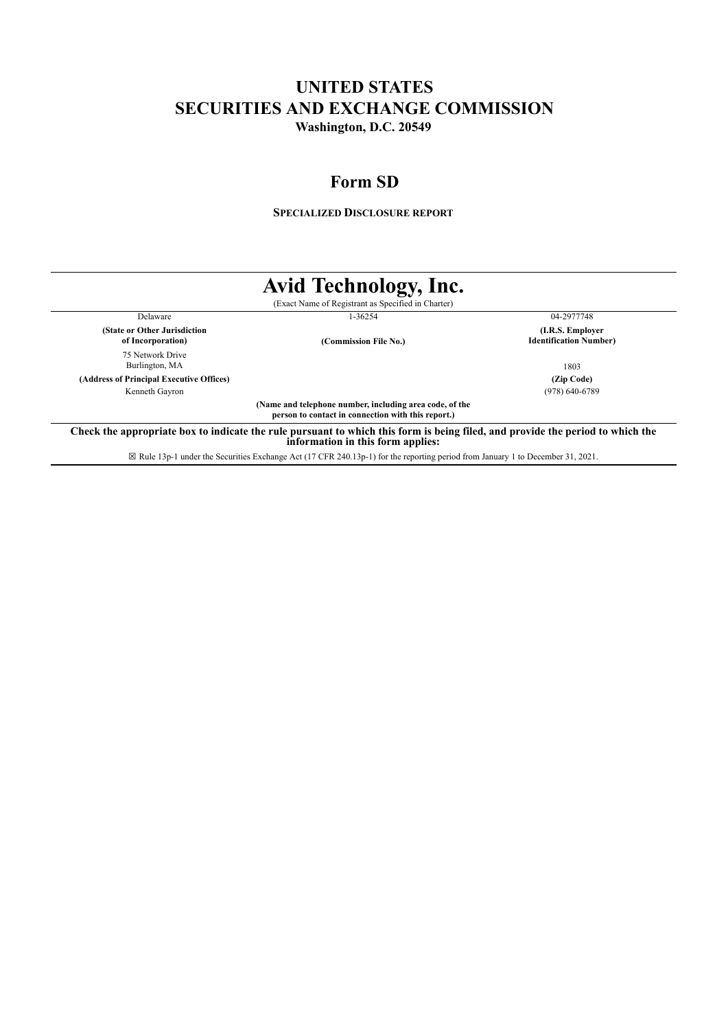# **UNITED STATES SECURITIES AND EXCHANGE COMMISSION Washington, D.C. 20549**

# **Form SD**

**SPECIALIZED DISCLOSURE REPORT**

|                                                   | Avid Technology, Inc.                                                                                         |                                                   |
|---------------------------------------------------|---------------------------------------------------------------------------------------------------------------|---------------------------------------------------|
|                                                   | (Exact Name of Registrant as Specified in Charter)                                                            |                                                   |
| Delaware                                          | 1-36254                                                                                                       | 04-2977748                                        |
| (State or Other Jurisdiction<br>of Incorporation) | (Commission File No.)                                                                                         | (I.R.S. Employer<br><b>Identification Number)</b> |
| 75 Network Drive<br>Burlington, MA                |                                                                                                               | 1803                                              |
| (Address of Principal Executive Offices)          |                                                                                                               | (Zip Code)                                        |
| Kenneth Gayron                                    |                                                                                                               | $(978)$ 640-6789                                  |
|                                                   | (Name and telephone number, including area code, of the<br>person to contact in connection with this report.) |                                                   |

☒ Rule 13p-1 under the Securities Exchange Act (17 CFR 240.13p-1) for the reporting period from January 1 to December 31, 2021.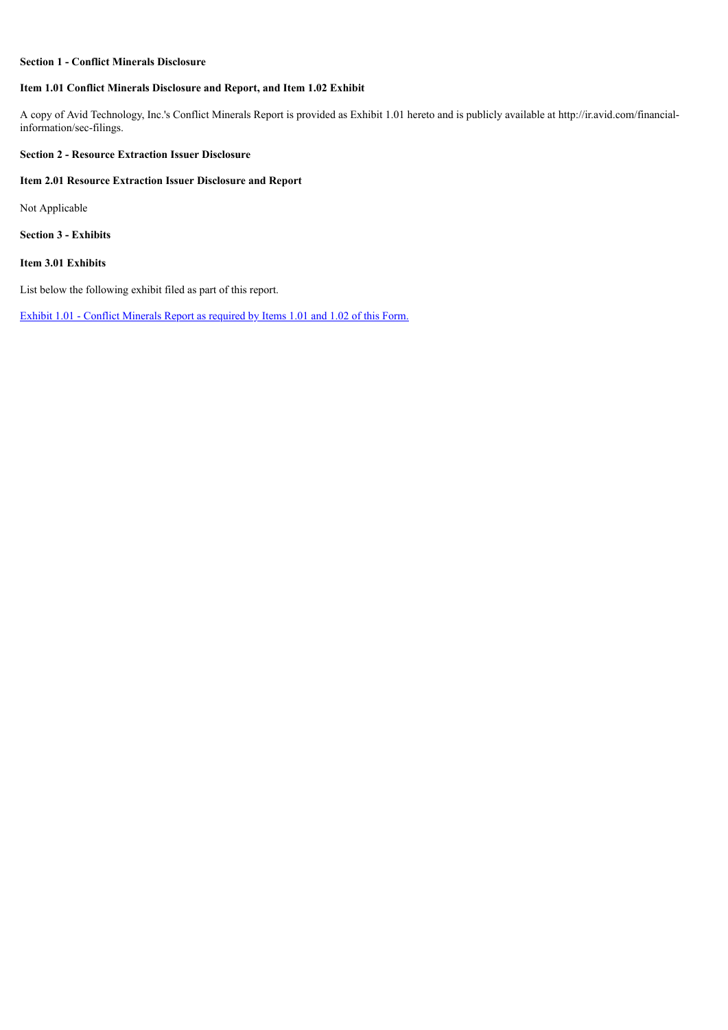## **Section 1 - Conflict Minerals Disclosure**

## **Item 1.01 Conflict Minerals Disclosure and Report, and Item 1.02 Exhibit**

A copy of Avid Technology, Inc.'s Conflict Minerals Report is provided as Exhibit 1.01 hereto and is publicly available at http://ir.avid.com/financialinformation/sec-filings.

# **Section 2 - Resource Extraction Issuer Disclosure**

## **Item 2.01 Resource Extraction Issuer Disclosure and Report**

Not Applicable

**Section 3 - Exhibits**

# **Item 3.01 Exhibits**

List below the following exhibit filed as part of this report.

Exhibit 1.01 - Conflict [Minerals](#page-3-0) Report as required by Items 1.01 and 1.02 of this Form.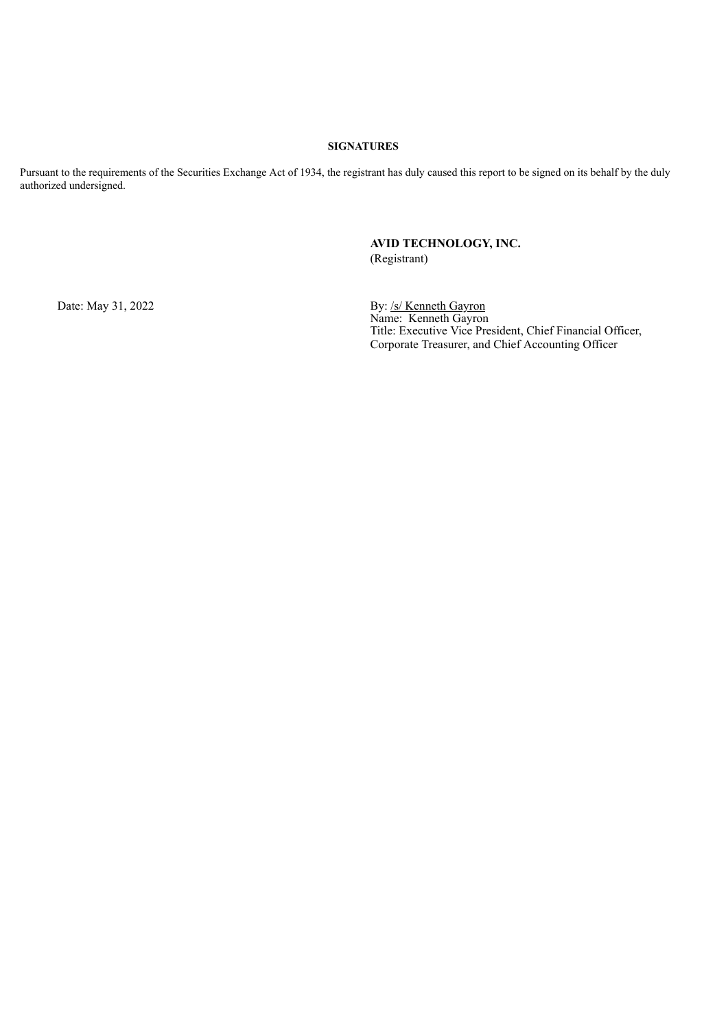## **SIGNATURES**

Pursuant to the requirements of the Securities Exchange Act of 1934, the registrant has duly caused this report to be signed on its behalf by the duly authorized undersigned.

# **AVID TECHNOLOGY, INC.** (Registrant)

Date: May 31, 2022 By: /s/ Kenneth Gayron Name: Kenneth Gayron Title: Executive Vice President, Chief Financial Officer, Corporate Treasurer, and Chief Accounting Officer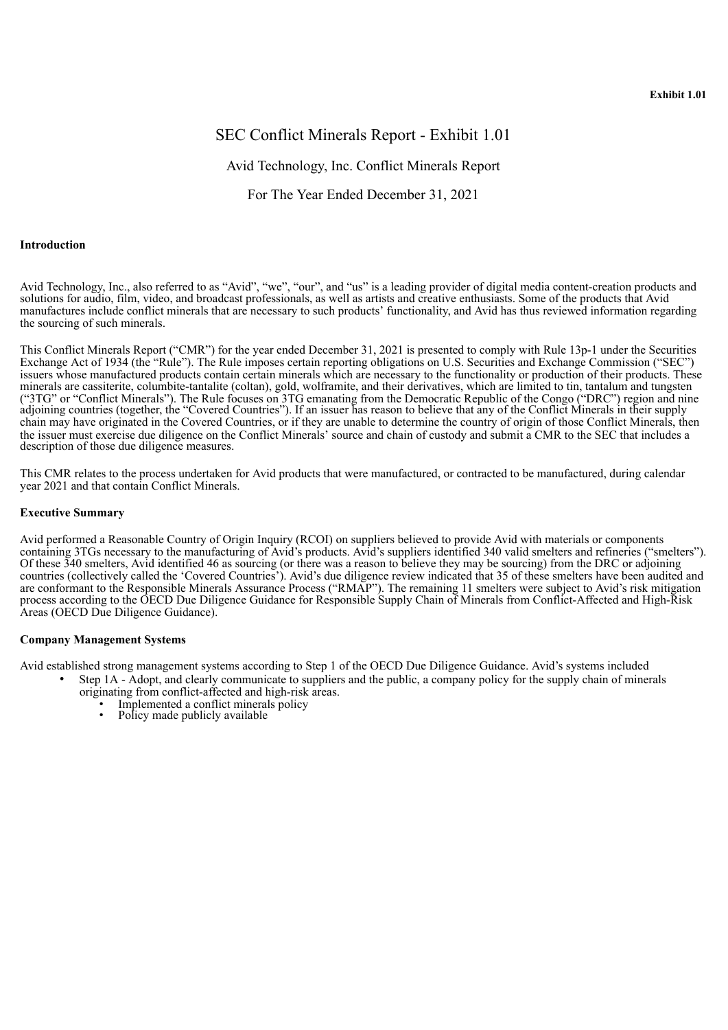# <span id="page-3-0"></span>SEC Conflict Minerals Report - Exhibit 1.01

# Avid Technology, Inc. Conflict Minerals Report

For The Year Ended December 31, 2021

#### **Introduction**

Avid Technology, Inc., also referred to as "Avid", "we", "our", and "us" is a leading provider of digital media content-creation products and solutions for audio, film, video, and broadcast professionals, as well as artists and creative enthusiasts. Some of the products that Avid manufactures include conflict minerals that are necessary to such products' functionality, and Avid has thus reviewed information regarding the sourcing of such minerals.

This Conflict Minerals Report ("CMR") for the year ended December 31, 2021 is presented to comply with Rule 13p-1 under the Securities Exchange Act of 1934 (the "Rule"). The Rule imposes certain reporting obligations on U.S. Securities and Exchange Commission ("SEC") issuers whose manufactured products contain certain minerals which are necessary to the functionality or production of their products. These minerals are cassiterite, columbite-tantalite (coltan), gold, wolframite, and their derivatives, which are limited to tin, tantalum and tungsten ("3TG" or "Conflict Minerals"). The Rule focuses on 3TG emanating from the Democratic Republic of the Congo ("DRC") region and nine adjoining countries (together, the "Covered Countries"). If an issuer has reason to believe that any of the Conflict Minerals in their supply chain may have originated in the Covered Countries, or if they are unable to determine the country of origin of those Conflict Minerals, then the issuer must exercise due diligence on the Conflict Minerals' source and chain of custody and submit a CMR to the SEC that includes a description of those due diligence measures.

This CMR relates to the process undertaken for Avid products that were manufactured, or contracted to be manufactured, during calendar year 2021 and that contain Conflict Minerals.

#### **Executive Summary**

Avid performed a Reasonable Country of Origin Inquiry (RCOI) on suppliers believed to provide Avid with materials or components containing 3TGs necessary to the manufacturing of Avid's products. Avid's suppliers identified 340 valid smelters and refineries ("smelters"). Of these 340 smelters, Avid identified 46 as sourcing (or there was a reason to believe they may be sourcing) from the DRC or adjoining countries (collectively called the 'Covered Countries'). Avid's due diligence review indicated that 35 of these smelters have been audited and are conformant to the Responsible Minerals Assurance Process ("RMAP"). The remaining 11 smelters were subject to Avid's risk mitigation process according to the OECD Due Diligence Guidance for Responsible Supply Chain of Minerals from Conflict-Affected and High-Risk Areas (OECD Due Diligence Guidance).

## **Company Management Systems**

Avid established strong management systems according to Step 1 of the OECD Due Diligence Guidance. Avid's systems included

- Step 1A Adopt, and clearly communicate to suppliers and the public, a company policy for the supply chain of minerals originating from conflict-affected and high-risk areas.
	- Implemented a conflict minerals policy
	- Policy made publicly available
	-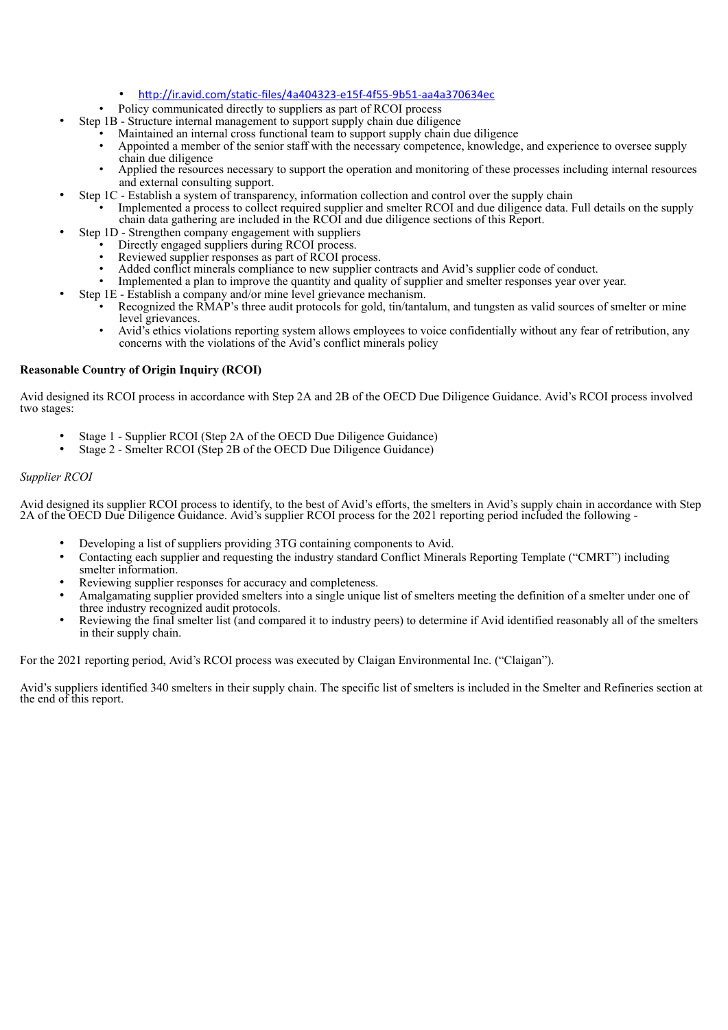## • http://ir.avid.com/static-files/4a404323-e15f-4f55-9b51-aa4a370634ec

- Policy communicated directly to suppliers as part of RCOI process
- Step 1B Structure internal management to support supply chain due diligence
	- Maintained an internal cross functional team to support supply chain due diligence
	- Appointed a member of the senior staff with the necessary competence, knowledge, and experience to oversee supply chain due diligence
		- Applied the resources necessary to support the operation and monitoring of these processes including internal resources and external consulting support.
- Step 1C Establish a system of transparency, information collection and control over the supply chain
	- Implemented a process to collect required supplier and smelter RCOI and due diligence data. Full details on the supply chain data gathering are included in the RCOI and due diligence sections of this Report.
- Step 1D Strengthen company engagement with suppliers
	- Directly engaged suppliers during RCOI process.
		- Reviewed supplier responses as part of RCOI process.
		- Added conflict minerals compliance to new supplier contracts and Avid's supplier code of conduct.
		- Implemented a plan to improve the quantity and quality of supplier and smelter responses year over year.
	- Step 1E Establish a company and/or mine level grievance mechanism.
		- Recognized the RMAP's three audit protocols for gold, tin/tantalum, and tungsten as valid sources of smelter or mine level grievances.
		- Avid's ethics violations reporting system allows employees to voice confidentially without any fear of retribution, any concerns with the violations of the Avid's conflict minerals policy

## **Reasonable Country of Origin Inquiry (RCOI)**

Avid designed its RCOI process in accordance with Step 2A and 2B of the OECD Due Diligence Guidance. Avid's RCOI process involved two stages:

- Stage 1 Supplier RCOI (Step 2A of the OECD Due Diligence Guidance)
- Stage 2 Smelter RCOI (Step 2B of the OECD Due Diligence Guidance)

## *Supplier RCOI*

Avid designed its supplier RCOI process to identify, to the best of Avid's efforts, the smelters in Avid's supply chain in accordance with Step 2A of the OECD Due Diligence Guidance. Avid's supplier RCOI process for the 2021 reporting period included the following -

- Developing a list of suppliers providing 3TG containing components to Avid.
- Contacting each supplier and requesting the industry standard Conflict Minerals Reporting Template ("CMRT") including smelter information.
- Reviewing supplier responses for accuracy and completeness.
- Amalgamating supplier provided smelters into a single unique list of smelters meeting the definition of a smelter under one of three industry recognized audit protocols.
- Reviewing the final smelter list (and compared it to industry peers) to determine if Avid identified reasonably all of the smelters in their supply chain.

For the 2021 reporting period, Avid's RCOI process was executed by Claigan Environmental Inc. ("Claigan").

Avid's suppliers identified 340 smelters in their supply chain. The specific list of smelters is included in the Smelter and Refineries section at the end of this report.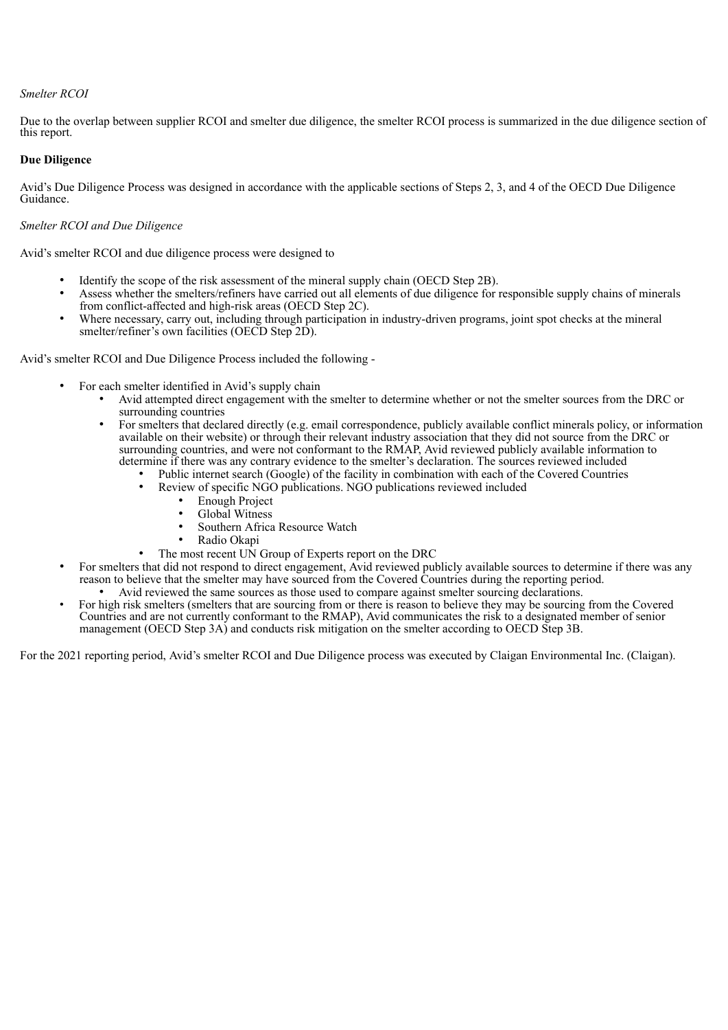## *Smelter RCOI*

Due to the overlap between supplier RCOI and smelter due diligence, the smelter RCOI process is summarized in the due diligence section of this report.

## **Due Diligence**

Avid's Due Diligence Process was designed in accordance with the applicable sections of Steps 2, 3, and 4 of the OECD Due Diligence Guidance.

## *Smelter RCOI and Due Diligence*

Avid's smelter RCOI and due diligence process were designed to

- Identify the scope of the risk assessment of the mineral supply chain (OECD Step 2B).
- Assess whether the smelters/refiners have carried out all elements of due diligence for responsible supply chains of minerals from conflict-affected and high-risk areas (OECD Step 2C).
- Where necessary, carry out, including through participation in industry-driven programs, joint spot checks at the mineral smelter/refiner's own facilities (OECD Step 2D).

Avid's smelter RCOI and Due Diligence Process included the following -

- For each smelter identified in Avid's supply chain
	- Avid attempted direct engagement with the smelter to determine whether or not the smelter sources from the DRC or surrounding countries
	- For smelters that declared directly (e.g. email correspondence, publicly available conflict minerals policy, or information available on their website) or through their relevant industry association that they did not source from the DRC or surrounding countries, and were not conformant to the RMAP, Avid reviewed publicly available information to determine if there was any contrary evidence to the smelter's declaration. The sources reviewed included
		- Public internet search (Google) of the facility in combination with each of the Covered Countries
			- Review of specific NGO publications. NGO publications reviewed included
				- Enough Project
				- Global Witness
				- Southern Africa Resource Watch
				- Radio Okapi
			- The most recent UN Group of Experts report on the DRC
- For smelters that did not respond to direct engagement, Avid reviewed publicly available sources to determine if there was any reason to believe that the smelter may have sourced from the Covered Countries during the reporting period.
	- Avid reviewed the same sources as those used to compare against smelter sourcing declarations.
- For high risk smelters (smelters that are sourcing from or there is reason to believe they may be sourcing from the Covered Countries and are not currently conformant to the RMAP), Avid communicates the risk to a designated member of senior management (OECD Step 3A) and conducts risk mitigation on the smelter according to OECD Step 3B.

For the 2021 reporting period, Avid's smelter RCOI and Due Diligence process was executed by Claigan Environmental Inc. (Claigan).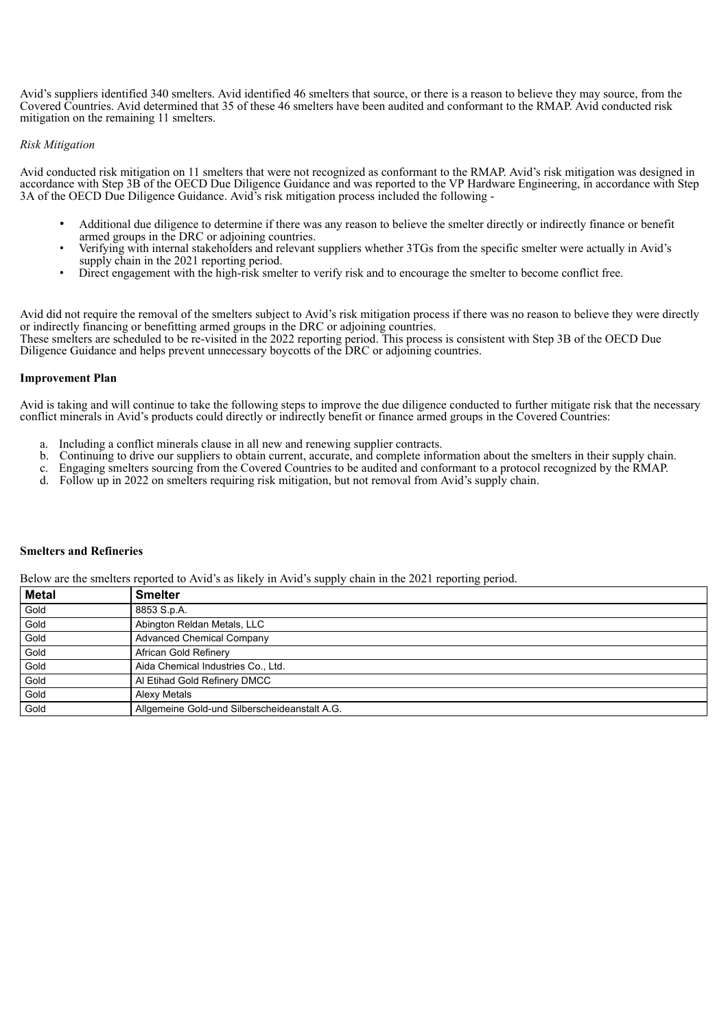Avid's suppliers identified 340 smelters. Avid identified 46 smelters that source, or there is a reason to believe they may source, from the Covered Countries. Avid determined that 35 of these 46 smelters have been audited and conformant to the RMAP. Avid conducted risk mitigation on the remaining 11 smelters.

## *Risk Mitigation*

Avid conducted risk mitigation on 11 smelters that were not recognized as conformant to the RMAP. Avid's risk mitigation was designed in accordance with Step 3B of the OECD Due Diligence Guidance and was reported to the VP Hardware Engineering, in accordance with Step 3A of the OECD Due Diligence Guidance. Avid's risk mitigation process included the following -

- Additional due diligence to determine if there was any reason to believe the smelter directly or indirectly finance or benefit armed groups in the DRC or adjoining countries.
- Verifying with internal stakeholders and relevant suppliers whether 3TGs from the specific smelter were actually in Avid's supply chain in the 2021 reporting period.
- Direct engagement with the high-risk smelter to verify risk and to encourage the smelter to become conflict free.

Avid did not require the removal of the smelters subject to Avid's risk mitigation process if there was no reason to believe they were directly or indirectly financing or benefitting armed groups in the DRC or adjoining countries.

These smelters are scheduled to be re-visited in the 2022 reporting period. This process is consistent with Step 3B of the OECD Due Diligence Guidance and helps prevent unnecessary boycotts of the DRC or adjoining countries.

## **Improvement Plan**

Avid is taking and will continue to take the following steps to improve the due diligence conducted to further mitigate risk that the necessary conflict minerals in Avid's products could directly or indirectly benefit or finance armed groups in the Covered Countries:

- a. Including a conflict minerals clause in all new and renewing supplier contracts.
- b. Continuing to drive our suppliers to obtain current, accurate, and complete information about the smelters in their supply chain.
- c. Engaging smelters sourcing from the Covered Countries to be audited and conformant to a protocol recognized by the RMAP.
- d. Follow up in 2022 on smelters requiring risk mitigation, but not removal from Avid's supply chain.

### **Smelters and Refineries**

Below are the smelters reported to Avid's as likely in Avid's supply chain in the 2021 reporting period.

| <b>Metal</b> | <b>Smelter</b>                                |
|--------------|-----------------------------------------------|
| Gold         | 8853 S.p.A.                                   |
| Gold         | Abington Reldan Metals, LLC                   |
| Gold         | <b>Advanced Chemical Company</b>              |
| Gold         | African Gold Refinery                         |
| Gold         | Aida Chemical Industries Co., Ltd.            |
| Gold         | Al Etihad Gold Refinery DMCC                  |
| Gold         | Alexy Metals                                  |
| Gold         | Allgemeine Gold-und Silberscheideanstalt A.G. |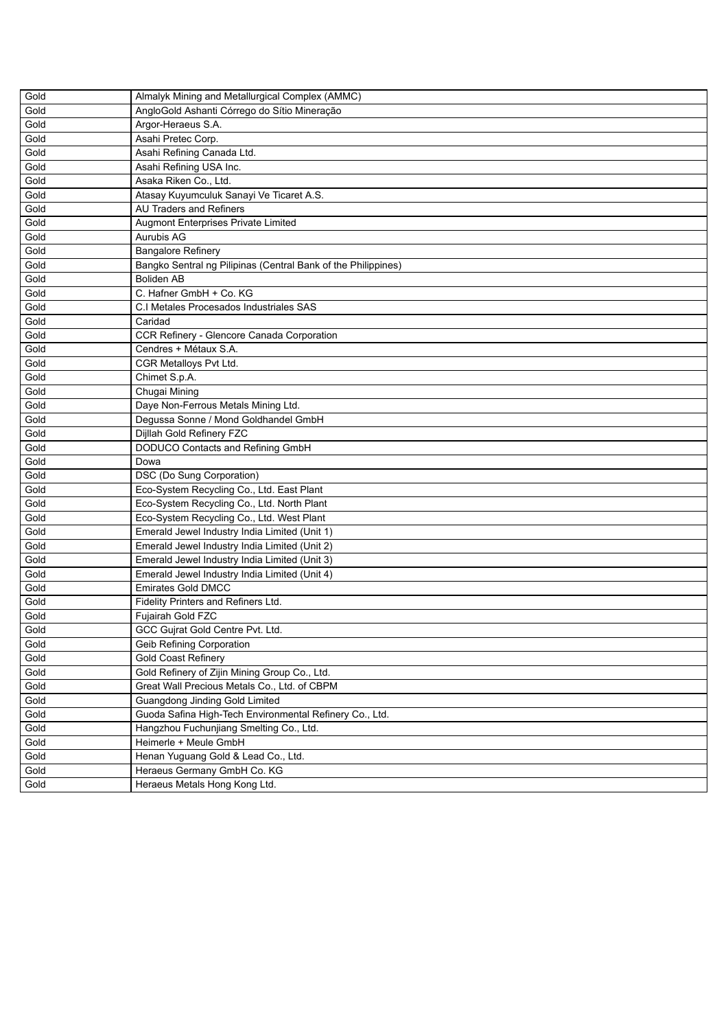| Gold | Almalyk Mining and Metallurgical Complex (AMMC)               |
|------|---------------------------------------------------------------|
| Gold | AngloGold Ashanti Córrego do Sítio Mineração                  |
| Gold | Argor-Heraeus S.A.                                            |
| Gold | Asahi Pretec Corp.                                            |
| Gold | Asahi Refining Canada Ltd.                                    |
| Gold | Asahi Refining USA Inc.                                       |
| Gold | Asaka Riken Co., Ltd.                                         |
| Gold | Atasay Kuyumculuk Sanayi Ve Ticaret A.S.                      |
| Gold | <b>AU Traders and Refiners</b>                                |
| Gold | <b>Augmont Enterprises Private Limited</b>                    |
| Gold | <b>Aurubis AG</b>                                             |
| Gold | <b>Bangalore Refinery</b>                                     |
| Gold | Bangko Sentral ng Pilipinas (Central Bank of the Philippines) |
| Gold | <b>Boliden AB</b>                                             |
| Gold | C. Hafner GmbH + Co. KG                                       |
| Gold | C.I Metales Procesados Industriales SAS                       |
| Gold | Caridad                                                       |
| Gold | CCR Refinery - Glencore Canada Corporation                    |
| Gold | Cendres + Métaux S.A.                                         |
| Gold | CGR Metalloys Pvt Ltd.                                        |
| Gold | Chimet S.p.A.                                                 |
| Gold | Chugai Mining                                                 |
| Gold | Daye Non-Ferrous Metals Mining Ltd.                           |
| Gold | Degussa Sonne / Mond Goldhandel GmbH                          |
| Gold | Dijllah Gold Refinery FZC                                     |
| Gold | DODUCO Contacts and Refining GmbH                             |
| Gold | Dowa                                                          |
| Gold | DSC (Do Sung Corporation)                                     |
| Gold | Eco-System Recycling Co., Ltd. East Plant                     |
| Gold | Eco-System Recycling Co., Ltd. North Plant                    |
| Gold | Eco-System Recycling Co., Ltd. West Plant                     |
| Gold | Emerald Jewel Industry India Limited (Unit 1)                 |
| Gold | Emerald Jewel Industry India Limited (Unit 2)                 |
| Gold | Emerald Jewel Industry India Limited (Unit 3)                 |
| Gold | Emerald Jewel Industry India Limited (Unit 4)                 |
| Gold | <b>Emirates Gold DMCC</b>                                     |
| Gold | Fidelity Printers and Refiners Ltd.                           |
| Gold | Fujairah Gold FZC                                             |
| Gold | GCC Gujrat Gold Centre Pvt. Ltd.                              |
| Gold | <b>Geib Refining Corporation</b>                              |
| Gold | <b>Gold Coast Refinery</b>                                    |
| Gold | Gold Refinery of Zijin Mining Group Co., Ltd.                 |
| Gold | Great Wall Precious Metals Co., Ltd. of CBPM                  |
| Gold | Guangdong Jinding Gold Limited                                |
| Gold | Guoda Safina High-Tech Environmental Refinery Co., Ltd.       |
| Gold | Hangzhou Fuchunjiang Smelting Co., Ltd.                       |
| Gold | Heimerle + Meule GmbH                                         |
| Gold | Henan Yuguang Gold & Lead Co., Ltd.                           |
| Gold | Heraeus Germany GmbH Co. KG                                   |
| Gold | Heraeus Metals Hong Kong Ltd.                                 |
|      |                                                               |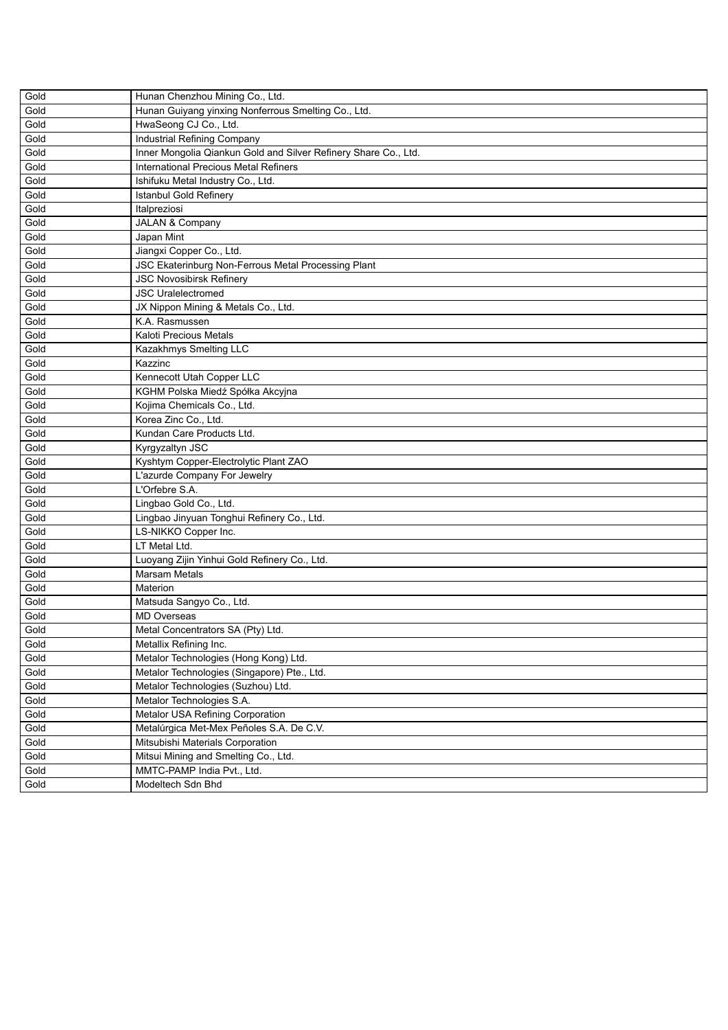| Gold | Hunan Chenzhou Mining Co., Ltd.                                 |
|------|-----------------------------------------------------------------|
| Gold | Hunan Guiyang yinxing Nonferrous Smelting Co., Ltd.             |
| Gold | HwaSeong CJ Co., Ltd.                                           |
| Gold | Industrial Refining Company                                     |
| Gold | Inner Mongolia Qiankun Gold and Silver Refinery Share Co., Ltd. |
| Gold | <b>International Precious Metal Refiners</b>                    |
| Gold | Ishifuku Metal Industry Co., Ltd.                               |
| Gold | Istanbul Gold Refinery                                          |
| Gold | Italpreziosi                                                    |
| Gold | JALAN & Company                                                 |
| Gold | Japan Mint                                                      |
| Gold | Jiangxi Copper Co., Ltd.                                        |
| Gold | JSC Ekaterinburg Non-Ferrous Metal Processing Plant             |
| Gold | <b>JSC Novosibirsk Refinery</b>                                 |
| Gold | <b>JSC Uralelectromed</b>                                       |
| Gold | JX Nippon Mining & Metals Co., Ltd.                             |
| Gold | K.A. Rasmussen                                                  |
| Gold | Kaloti Precious Metals                                          |
| Gold | Kazakhmys Smelting LLC                                          |
| Gold | Kazzinc                                                         |
| Gold | Kennecott Utah Copper LLC                                       |
| Gold | KGHM Polska Miedź Spółka Akcyjna                                |
| Gold | Kojima Chemicals Co., Ltd.                                      |
| Gold | Korea Zinc Co., Ltd.                                            |
| Gold | Kundan Care Products Ltd.                                       |
| Gold | Kyrgyzaltyn JSC                                                 |
| Gold | Kyshtym Copper-Electrolytic Plant ZAO                           |
| Gold | L'azurde Company For Jewelry                                    |
| Gold | L'Orfebre S.A.                                                  |
| Gold | Lingbao Gold Co., Ltd.                                          |
| Gold | Lingbao Jinyuan Tonghui Refinery Co., Ltd.                      |
| Gold | LS-NIKKO Copper Inc.                                            |
| Gold | LT Metal Ltd.                                                   |
| Gold | Luoyang Zijin Yinhui Gold Refinery Co., Ltd.                    |
| Gold | Marsam Metals                                                   |
| Gold | Materion                                                        |
| Gold | Matsuda Sangyo Co., Ltd.                                        |
| Gold | <b>MD Overseas</b>                                              |
| Gold | Metal Concentrators SA (Pty) Ltd.                               |
| Gold | Metallix Refining Inc.                                          |
| Gold | Metalor Technologies (Hong Kong) Ltd.                           |
| Gold | Metalor Technologies (Singapore) Pte., Ltd.                     |
| Gold | Metalor Technologies (Suzhou) Ltd.                              |
| Gold | Metalor Technologies S.A.                                       |
| Gold | Metalor USA Refining Corporation                                |
| Gold | Metalúrgica Met-Mex Peñoles S.A. De C.V.                        |
| Gold | Mitsubishi Materials Corporation                                |
| Gold | Mitsui Mining and Smelting Co., Ltd.                            |
| Gold | MMTC-PAMP India Pvt., Ltd.                                      |
| Gold | Modeltech Sdn Bhd                                               |
|      |                                                                 |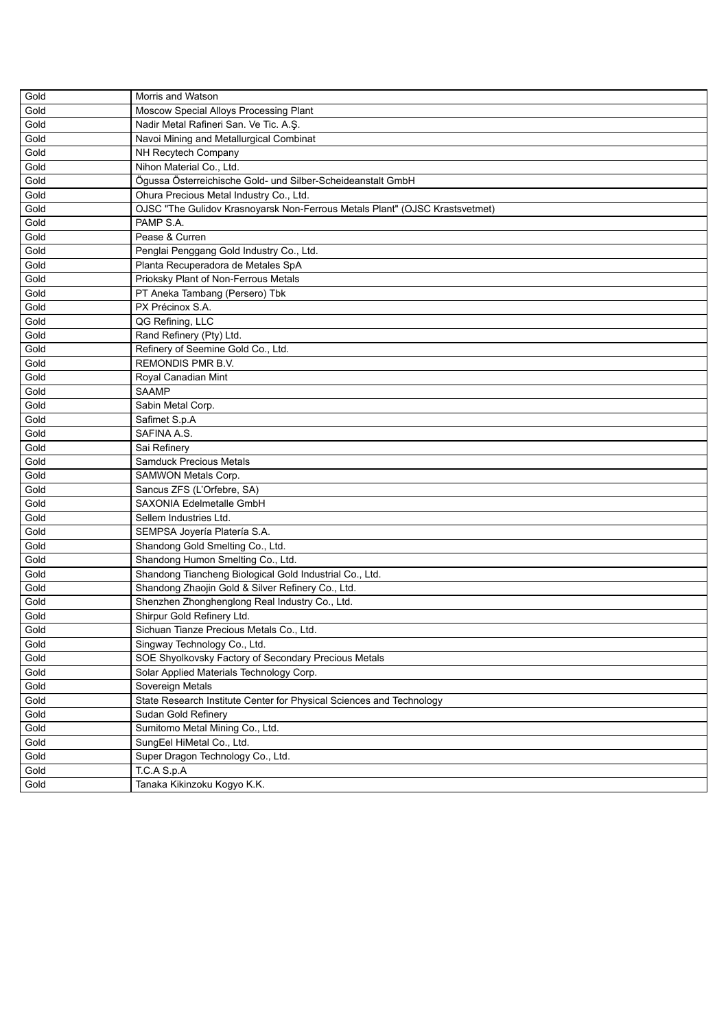| Gold | Morris and Watson                                                           |
|------|-----------------------------------------------------------------------------|
| Gold | Moscow Special Alloys Processing Plant                                      |
| Gold | Nadir Metal Rafineri San. Ve Tic. A.Ş.                                      |
| Gold | Navoi Mining and Metallurgical Combinat                                     |
| Gold | NH Recytech Company                                                         |
| Gold | Nihon Material Co., Ltd.                                                    |
| Gold | Ögussa Österreichische Gold- und Silber-Scheideanstalt GmbH                 |
| Gold | Ohura Precious Metal Industry Co., Ltd.                                     |
| Gold | OJSC "The Gulidov Krasnoyarsk Non-Ferrous Metals Plant" (OJSC Krastsvetmet) |
| Gold | PAMP S.A.                                                                   |
| Gold | Pease & Curren                                                              |
| Gold | Penglai Penggang Gold Industry Co., Ltd.                                    |
| Gold | Planta Recuperadora de Metales SpA                                          |
| Gold | Prioksky Plant of Non-Ferrous Metals                                        |
| Gold | PT Aneka Tambang (Persero) Tbk                                              |
| Gold | PX Précinox S.A.                                                            |
| Gold | QG Refining, LLC                                                            |
| Gold | Rand Refinery (Pty) Ltd.                                                    |
| Gold | Refinery of Seemine Gold Co., Ltd.                                          |
| Gold | <b>REMONDIS PMR B.V.</b>                                                    |
| Gold | Royal Canadian Mint                                                         |
| Gold | <b>SAAMP</b>                                                                |
| Gold |                                                                             |
|      | Sabin Metal Corp.                                                           |
| Gold | Safimet S.p.A                                                               |
| Gold | SAFINA A.S.                                                                 |
| Gold | Sai Refinery                                                                |
| Gold | Samduck Precious Metals                                                     |
| Gold | SAMWON Metals Corp.                                                         |
| Gold | Sancus ZFS (L'Orfebre, SA)                                                  |
| Gold | SAXONIA Edelmetalle GmbH                                                    |
| Gold | Sellem Industries Ltd.                                                      |
| Gold | SEMPSA Joyería Platería S.A.                                                |
| Gold | Shandong Gold Smelting Co., Ltd.                                            |
| Gold | Shandong Humon Smelting Co., Ltd.                                           |
| Gold | Shandong Tiancheng Biological Gold Industrial Co., Ltd.                     |
| Gold | Shandong Zhaojin Gold & Silver Refinery Co., Ltd.                           |
| Gold | Shenzhen Zhonghenglong Real Industry Co., Ltd.                              |
| Gold | Shirpur Gold Refinery Ltd.                                                  |
| Gold | Sichuan Tianze Precious Metals Co., Ltd.                                    |
| Gold | Singway Technology Co., Ltd.                                                |
| Gold | SOE Shyolkovsky Factory of Secondary Precious Metals                        |
| Gold | Solar Applied Materials Technology Corp.                                    |
| Gold | Sovereign Metals                                                            |
| Gold | State Research Institute Center for Physical Sciences and Technology        |
| Gold | Sudan Gold Refinery                                                         |
| Gold | Sumitomo Metal Mining Co., Ltd.                                             |
| Gold | SungEel HiMetal Co., Ltd.                                                   |
| Gold | Super Dragon Technology Co., Ltd.                                           |
| Gold | T.C.A S.p.A                                                                 |
|      |                                                                             |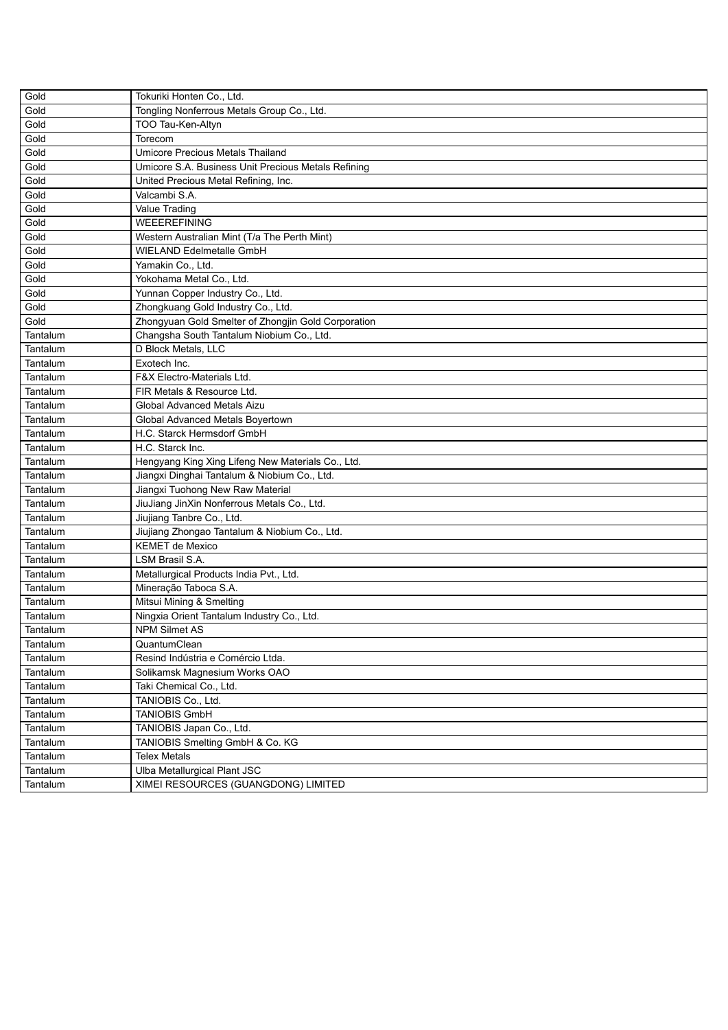| Gold     | Tokuriki Honten Co., Ltd.                           |
|----------|-----------------------------------------------------|
| Gold     | Tongling Nonferrous Metals Group Co., Ltd.          |
| Gold     | TOO Tau-Ken-Altyn                                   |
| Gold     | Torecom                                             |
| Gold     | Umicore Precious Metals Thailand                    |
| Gold     | Umicore S.A. Business Unit Precious Metals Refining |
| Gold     | United Precious Metal Refining, Inc.                |
| Gold     | Valcambi S.A.                                       |
| Gold     | Value Trading                                       |
| Gold     | <b>WEEEREFINING</b>                                 |
| Gold     | Western Australian Mint (T/a The Perth Mint)        |
| Gold     | WIELAND Edelmetalle GmbH                            |
| Gold     | Yamakin Co., Ltd.                                   |
| Gold     | Yokohama Metal Co., Ltd.                            |
| Gold     | Yunnan Copper Industry Co., Ltd.                    |
| Gold     | Zhongkuang Gold Industry Co., Ltd.                  |
| Gold     | Zhongyuan Gold Smelter of Zhongjin Gold Corporation |
| Tantalum | Changsha South Tantalum Niobium Co., Ltd.           |
| Tantalum | D Block Metals, LLC                                 |
| Tantalum | Exotech Inc.                                        |
| Tantalum | <b>F&amp;X Electro-Materials Ltd.</b>               |
| Tantalum | FIR Metals & Resource Ltd.                          |
| Tantalum | Global Advanced Metals Aizu                         |
| Tantalum | Global Advanced Metals Boyertown                    |
| Tantalum | H.C. Starck Hermsdorf GmbH                          |
| Tantalum | H.C. Starck Inc.                                    |
| Tantalum | Hengyang King Xing Lifeng New Materials Co., Ltd.   |
| Tantalum | Jiangxi Dinghai Tantalum & Niobium Co., Ltd.        |
| Tantalum | Jiangxi Tuohong New Raw Material                    |
| Tantalum | JiuJiang JinXin Nonferrous Metals Co., Ltd.         |
| Tantalum | Jiujiang Tanbre Co., Ltd.                           |
| Tantalum | Jiujiang Zhongao Tantalum & Niobium Co., Ltd.       |
| Tantalum | <b>KEMET de Mexico</b>                              |
| Tantalum | LSM Brasil S.A.                                     |
| Tantalum | Metallurgical Products India Pvt., Ltd.             |
| Tantalum | Mineração Taboca S.A.                               |
| Tantalum | Mitsui Mining & Smelting                            |
| Tantalum | Ningxia Orient Tantalum Industry Co., Ltd.          |
| Tantalum | <b>NPM Silmet AS</b>                                |
| Tantalum | QuantumClean                                        |
| Tantalum | Resind Indústria e Comércio Ltda.                   |
| Tantalum | Solikamsk Magnesium Works OAO                       |
| Tantalum | Taki Chemical Co., Ltd.                             |
| Tantalum | TANIOBIS Co., Ltd.                                  |
| Tantalum | <b>TANIOBIS GmbH</b>                                |
| Tantalum | TANIOBIS Japan Co., Ltd.                            |
| Tantalum | TANIOBIS Smelting GmbH & Co. KG                     |
| Tantalum | <b>Telex Metals</b>                                 |
| Tantalum | Ulba Metallurgical Plant JSC                        |
| Tantalum | XIMEI RESOURCES (GUANGDONG) LIMITED                 |
|          |                                                     |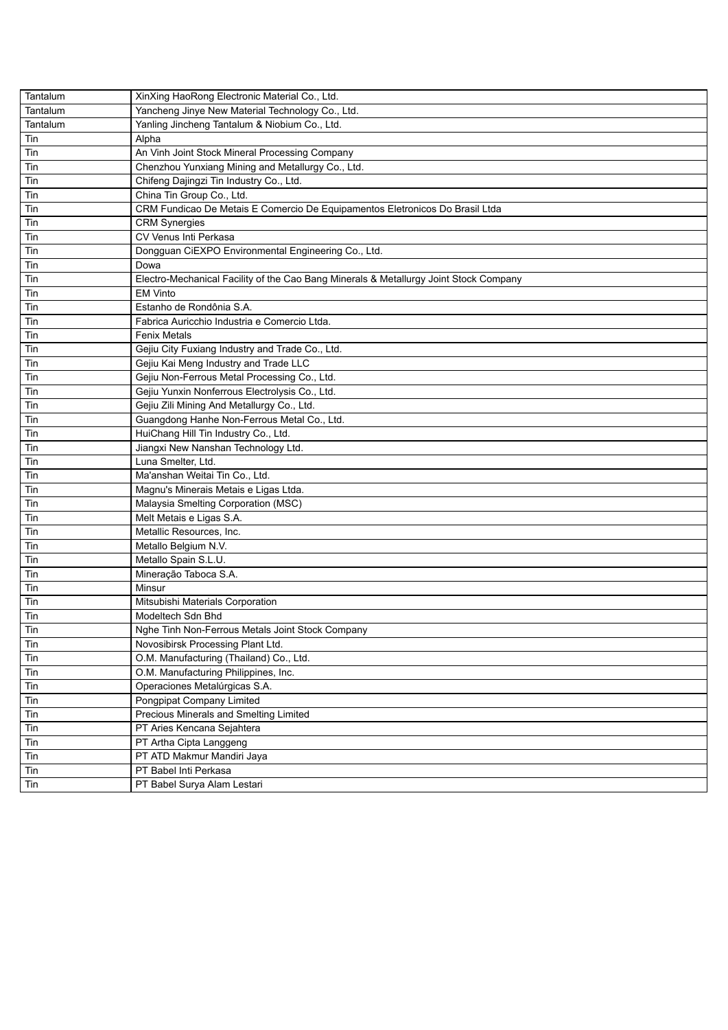| Tantalum | XinXing HaoRong Electronic Material Co., Ltd.                                         |  |
|----------|---------------------------------------------------------------------------------------|--|
| Tantalum | Yancheng Jinye New Material Technology Co., Ltd.                                      |  |
| Tantalum | Yanling Jincheng Tantalum & Niobium Co., Ltd.                                         |  |
| Tin      | Alpha                                                                                 |  |
| Tin      | An Vinh Joint Stock Mineral Processing Company                                        |  |
| Tin      | Chenzhou Yunxiang Mining and Metallurgy Co., Ltd.                                     |  |
| Tin      | Chifeng Dajingzi Tin Industry Co., Ltd.                                               |  |
| Tin      | China Tin Group Co., Ltd.                                                             |  |
| Tin      | CRM Fundicao De Metais E Comercio De Equipamentos Eletronicos Do Brasil Ltda          |  |
| Tin      | <b>CRM Synergies</b>                                                                  |  |
| Tin      | CV Venus Inti Perkasa                                                                 |  |
| Tin      | Dongguan CiEXPO Environmental Engineering Co., Ltd.                                   |  |
| Tin      | Dowa                                                                                  |  |
| Tin      | Electro-Mechanical Facility of the Cao Bang Minerals & Metallurgy Joint Stock Company |  |
| Tin      | <b>EM Vinto</b>                                                                       |  |
| Tin      | Estanho de Rondônia S.A.                                                              |  |
| Tin      | Fabrica Auricchio Industria e Comercio Ltda.                                          |  |
| Tin      | <b>Fenix Metals</b>                                                                   |  |
| Tin      | Gejiu City Fuxiang Industry and Trade Co., Ltd.                                       |  |
| Tin      | Gejiu Kai Meng Industry and Trade LLC                                                 |  |
| Tin      | Gejiu Non-Ferrous Metal Processing Co., Ltd.                                          |  |
| Tin      | Gejiu Yunxin Nonferrous Electrolysis Co., Ltd.                                        |  |
| Tin      | Gejiu Zili Mining And Metallurgy Co., Ltd.                                            |  |
| Tin      | Guangdong Hanhe Non-Ferrous Metal Co., Ltd.                                           |  |
| Tin      | HuiChang Hill Tin Industry Co., Ltd.                                                  |  |
| Tin      | Jiangxi New Nanshan Technology Ltd.                                                   |  |
| Tin      | Luna Smelter, Ltd.                                                                    |  |
| Tin      | Ma'anshan Weitai Tin Co., Ltd.                                                        |  |
| Tin      | Magnu's Minerais Metais e Ligas Ltda.                                                 |  |
| Tin      | Malaysia Smelting Corporation (MSC)                                                   |  |
|          | Melt Metais e Ligas S.A.                                                              |  |
| Tin      |                                                                                       |  |
| Tin      | Metallic Resources, Inc.                                                              |  |
| Tin      | Metallo Belgium N.V.                                                                  |  |
| Tin      | Metallo Spain S.L.U.                                                                  |  |
| Tin      | Mineração Taboca S.A.                                                                 |  |
| Tin      | Minsur                                                                                |  |
| Tin      | Mitsubishi Materials Corporation                                                      |  |
| Tin      | Modeltech Sdn Bhd                                                                     |  |
| Tin      | Nghe Tinh Non-Ferrous Metals Joint Stock Company                                      |  |
| Tin      | Novosibirsk Processing Plant Ltd.                                                     |  |
| Tin      | O.M. Manufacturing (Thailand) Co., Ltd.                                               |  |
| Tin      | O.M. Manufacturing Philippines, Inc.                                                  |  |
| Tin      | Operaciones Metalúrgicas S.A.                                                         |  |
| Tin      | Pongpipat Company Limited                                                             |  |
| Tin      | Precious Minerals and Smelting Limited                                                |  |
| Tin      | PT Aries Kencana Sejahtera                                                            |  |
| Tin      | PT Artha Cipta Langgeng                                                               |  |
| Tin      | PT ATD Makmur Mandiri Jaya                                                            |  |
| Tin      | PT Babel Inti Perkasa                                                                 |  |
| Tin      | PT Babel Surya Alam Lestari                                                           |  |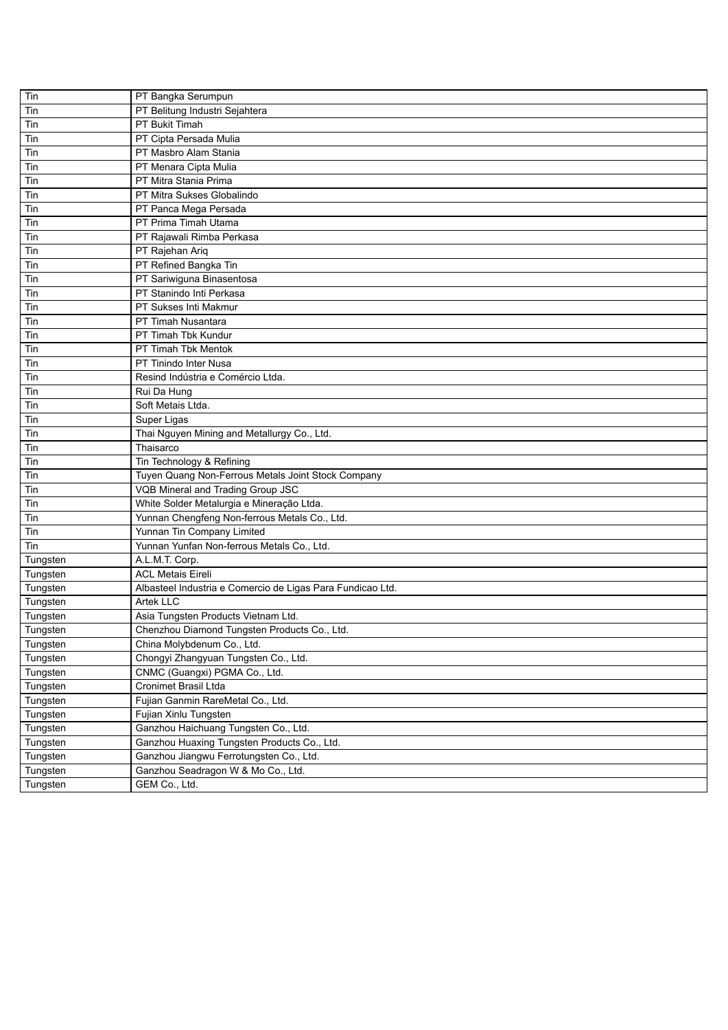| Tin      | PT Bangka Serumpun                                         |
|----------|------------------------------------------------------------|
| Tin      | PT Belitung Industri Sejahtera                             |
| Tin      | PT Bukit Timah                                             |
| Tin      | PT Cipta Persada Mulia                                     |
| Tin      | PT Masbro Alam Stania                                      |
| Tin      | PT Menara Cipta Mulia                                      |
| Tin      | PT Mitra Stania Prima                                      |
| Tin      | PT Mitra Sukses Globalindo                                 |
| Tin      | PT Panca Mega Persada                                      |
| Tin      | PT Prima Timah Utama                                       |
| Tin      | PT Rajawali Rimba Perkasa                                  |
| Tin      | PT Rajehan Ariq                                            |
| Tin      | PT Refined Bangka Tin                                      |
| Tin      | PT Sariwiguna Binasentosa                                  |
| Tin      | PT Stanindo Inti Perkasa                                   |
| Tin      | PT Sukses Inti Makmur                                      |
| Tin      | PT Timah Nusantara                                         |
| Tin      | PT Timah Tbk Kundur                                        |
| Tin      | PT Timah Tbk Mentok                                        |
| Tin      | PT Tinindo Inter Nusa                                      |
| Tin      | Resind Indústria e Comércio Ltda.                          |
| Tin      | Rui Da Hung                                                |
| Tin      | Soft Metais Ltda.                                          |
| Tin      | Super Ligas                                                |
| Tin      | Thai Nguyen Mining and Metallurgy Co., Ltd.                |
| Tin      | Thaisarco                                                  |
| Tin      | Tin Technology & Refining                                  |
| Tin      | Tuyen Quang Non-Ferrous Metals Joint Stock Company         |
| Tin      | VQB Mineral and Trading Group JSC                          |
| Tin      | White Solder Metalurgia e Mineração Ltda.                  |
| Tin      | Yunnan Chengfeng Non-ferrous Metals Co., Ltd.              |
| Tin      | Yunnan Tin Company Limited                                 |
| Tin      | Yunnan Yunfan Non-ferrous Metals Co., Ltd.                 |
| Tungsten | A.L.M.T. Corp.                                             |
| Tungsten | <b>ACL Metais Eireli</b>                                   |
| Tungsten | Albasteel Industria e Comercio de Ligas Para Fundicao Ltd. |
| Tungsten | Artek LLC                                                  |
| Tungsten | Asia Tungsten Products Vietnam Ltd.                        |
| Tungsten | Chenzhou Diamond Tungsten Products Co., Ltd.               |
| Tungsten | China Molybdenum Co., Ltd.                                 |
| Tungsten | Chongyi Zhangyuan Tungsten Co., Ltd.                       |
| Tungsten | CNMC (Guangxi) PGMA Co., Ltd.                              |
| Tungsten | Cronimet Brasil Ltda                                       |
| Tungsten | Fujian Ganmin RareMetal Co., Ltd.                          |
| Tungsten | Fujian Xinlu Tungsten                                      |
| Tungsten | Ganzhou Haichuang Tungsten Co., Ltd.                       |
| Tungsten | Ganzhou Huaxing Tungsten Products Co., Ltd.                |
| Tungsten | Ganzhou Jiangwu Ferrotungsten Co., Ltd.                    |
| Tungsten | Ganzhou Seadragon W & Mo Co., Ltd.                         |
| Tungsten | GEM Co., Ltd.                                              |
|          |                                                            |